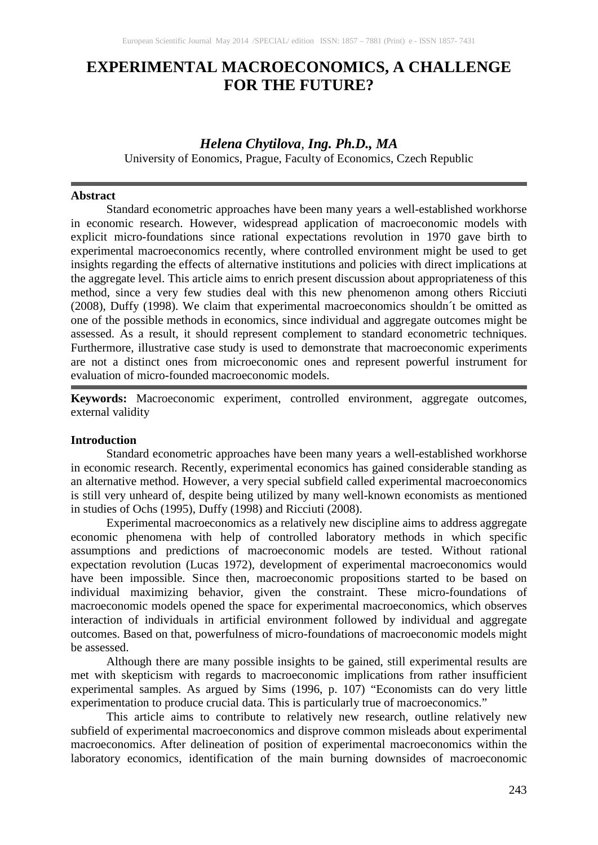# **EXPERIMENTAL MACROECONOMICS, A CHALLENGE FOR THE FUTURE?**

# *Helena Chytilova, Ing. Ph.D., MA*

University of Eonomics, Prague, Faculty of Economics, Czech Republic

#### **Abstract**

Standard econometric approaches have been many years a well-established workhorse in economic research. However, widespread application of macroeconomic models with explicit micro-foundations since rational expectations revolution in 1970 gave birth to experimental macroeconomics recently, where controlled environment might be used to get insights regarding the effects of alternative institutions and policies with direct implications at the aggregate level. This article aims to enrich present discussion about appropriateness of this method, since a very few studies deal with this new phenomenon among others Ricciuti (2008), Duffy (1998). We claim that experimental macroeconomics shouldn´t be omitted as one of the possible methods in economics, since individual and aggregate outcomes might be assessed. As a result, it should represent complement to standard econometric techniques. Furthermore, illustrative case study is used to demonstrate that macroeconomic experiments are not a distinct ones from microeconomic ones and represent powerful instrument for evaluation of micro-founded macroeconomic models.

**Keywords:** Macroeconomic experiment, controlled environment, aggregate outcomes, external validity

# **Introduction**

Standard econometric approaches have been many years a well-established workhorse in economic research. Recently, experimental economics has gained considerable standing as an alternative method. However, a very special subfield called experimental macroeconomics is still very unheard of, despite being utilized by many well-known economists as mentioned in studies of Ochs (1995), Duffy (1998) and Ricciuti (2008).

Experimental macroeconomics as a relatively new discipline aims to address aggregate economic phenomena with help of controlled laboratory methods in which specific assumptions and predictions of macroeconomic models are tested. Without rational expectation revolution (Lucas 1972), development of experimental macroeconomics would have been impossible. Since then, macroeconomic propositions started to be based on individual maximizing behavior, given the constraint. These micro-foundations of macroeconomic models opened the space for experimental macroeconomics, which observes interaction of individuals in artificial environment followed by individual and aggregate outcomes. Based on that, powerfulness of micro-foundations of macroeconomic models might be assessed.

Although there are many possible insights to be gained, still experimental results are met with skepticism with regards to macroeconomic implications from rather insufficient experimental samples. As argued by Sims (1996, p. 107) "Economists can do very little experimentation to produce crucial data. This is particularly true of macroeconomics."

This article aims to contribute to relatively new research, outline relatively new subfield of experimental macroeconomics and disprove common misleads about experimental macroeconomics. After delineation of position of experimental macroeconomics within the laboratory economics, identification of the main burning downsides of macroeconomic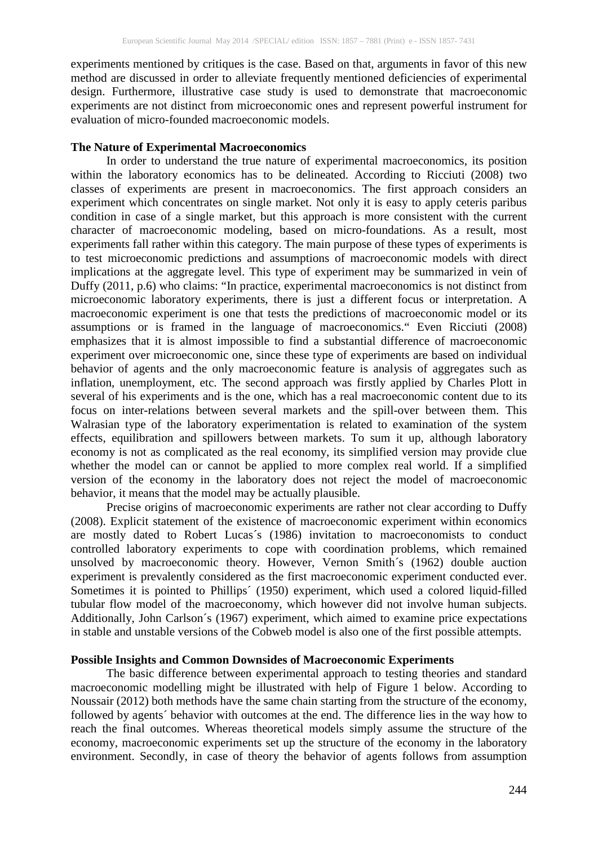experiments mentioned by critiques is the case. Based on that, arguments in favor of this new method are discussed in order to alleviate frequently mentioned deficiencies of experimental design. Furthermore, illustrative case study is used to demonstrate that macroeconomic experiments are not distinct from microeconomic ones and represent powerful instrument for evaluation of micro-founded macroeconomic models.

#### **The Nature of Experimental Macroeconomics**

In order to understand the true nature of experimental macroeconomics, its position within the laboratory economics has to be delineated. According to Ricciuti (2008) two classes of experiments are present in macroeconomics. The first approach considers an experiment which concentrates on single market. Not only it is easy to apply ceteris paribus condition in case of a single market, but this approach is more consistent with the current character of macroeconomic modeling, based on micro-foundations. As a result, most experiments fall rather within this category. The main purpose of these types of experiments is to test microeconomic predictions and assumptions of macroeconomic models with direct implications at the aggregate level. This type of experiment may be summarized in vein of Duffy (2011, p.6) who claims: "In practice, experimental macroeconomics is not distinct from microeconomic laboratory experiments, there is just a different focus or interpretation. A macroeconomic experiment is one that tests the predictions of macroeconomic model or its assumptions or is framed in the language of macroeconomics." Even Ricciuti (2008) emphasizes that it is almost impossible to find a substantial difference of macroeconomic experiment over microeconomic one, since these type of experiments are based on individual behavior of agents and the only macroeconomic feature is analysis of aggregates such as inflation, unemployment, etc. The second approach was firstly applied by Charles Plott in several of his experiments and is the one, which has a real macroeconomic content due to its focus on inter-relations between several markets and the spill-over between them. This Walrasian type of the laboratory experimentation is related to examination of the system effects, equilibration and spillowers between markets. To sum it up, although laboratory economy is not as complicated as the real economy, its simplified version may provide clue whether the model can or cannot be applied to more complex real world. If a simplified version of the economy in the laboratory does not reject the model of macroeconomic behavior, it means that the model may be actually plausible.

Precise origins of macroeconomic experiments are rather not clear according to Duffy (2008). Explicit statement of the existence of macroeconomic experiment within economics are mostly dated to Robert Lucas´s (1986) invitation to macroeconomists to conduct controlled laboratory experiments to cope with coordination problems, which remained unsolved by macroeconomic theory. However, Vernon Smith´s (1962) double auction experiment is prevalently considered as the first macroeconomic experiment conducted ever. Sometimes it is pointed to Phillips´ (1950) experiment, which used a colored liquid-filled tubular flow model of the macroeconomy, which however did not involve human subjects. Additionally, John Carlson´s (1967) experiment, which aimed to examine price expectations in stable and unstable versions of the Cobweb model is also one of the first possible attempts.

# **Possible Insights and Common Downsides of Macroeconomic Experiments**

The basic difference between experimental approach to testing theories and standard macroeconomic modelling might be illustrated with help of Figure 1 below. According to Noussair (2012) both methods have the same chain starting from the structure of the economy, followed by agents´ behavior with outcomes at the end. The difference lies in the way how to reach the final outcomes. Whereas theoretical models simply assume the structure of the economy, macroeconomic experiments set up the structure of the economy in the laboratory environment. Secondly, in case of theory the behavior of agents follows from assumption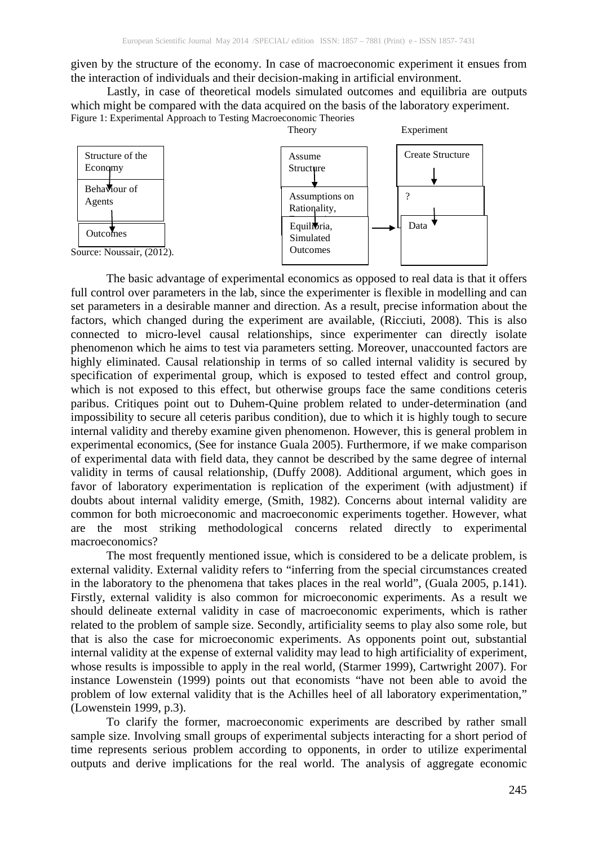given by the structure of the economy. In case of macroeconomic experiment it ensues from the interaction of individuals and their decision-making in artificial environment.

Lastly, in case of theoretical models simulated outcomes and equilibria are outputs which might be compared with the data acquired on the basis of the laboratory experiment. Figure 1: Experimental Approach to Testing Macroeconomic Theories



The basic advantage of experimental economics as opposed to real data is that it offers full control over parameters in the lab, since the experimenter is flexible in modelling and can set parameters in a desirable manner and direction. As a result, precise information about the factors, which changed during the experiment are available, (Ricciuti, 2008). This is also connected to micro-level causal relationships, since experimenter can directly isolate phenomenon which he aims to test via parameters setting. Moreover, unaccounted factors are highly eliminated. Causal relationship in terms of so called internal validity is secured by specification of experimental group, which is exposed to tested effect and control group, which is not exposed to this effect, but otherwise groups face the same conditions ceteris paribus. Critiques point out to Duhem-Quine problem related to under-determination (and impossibility to secure all ceteris paribus condition), due to which it is highly tough to secure internal validity and thereby examine given phenomenon. However, this is general problem in experimental economics, (See for instance Guala 2005). Furthermore, if we make comparison of experimental data with field data, they cannot be described by the same degree of internal validity in terms of causal relationship, (Duffy 2008). Additional argument, which goes in favor of laboratory experimentation is replication of the experiment (with adjustment) if doubts about internal validity emerge, (Smith, 1982). Concerns about internal validity are common for both microeconomic and macroeconomic experiments together. However, what are the most striking methodological concerns related directly to experimental macroeconomics?

The most frequently mentioned issue, which is considered to be a delicate problem, is external validity. External validity refers to "inferring from the special circumstances created in the laboratory to the phenomena that takes places in the real world", (Guala 2005, p.141). Firstly, external validity is also common for microeconomic experiments. As a result we should delineate external validity in case of macroeconomic experiments, which is rather related to the problem of sample size. Secondly, artificiality seems to play also some role, but that is also the case for microeconomic experiments. As opponents point out, substantial internal validity at the expense of external validity may lead to high artificiality of experiment, whose results is impossible to apply in the real world, (Starmer 1999), Cartwright 2007). For instance Lowenstein (1999) points out that economists "have not been able to avoid the problem of low external validity that is the Achilles heel of all laboratory experimentation," (Lowenstein 1999, p.3).

To clarify the former, macroeconomic experiments are described by rather small sample size. Involving small groups of experimental subjects interacting for a short period of time represents serious problem according to opponents, in order to utilize experimental outputs and derive implications for the real world. The analysis of aggregate economic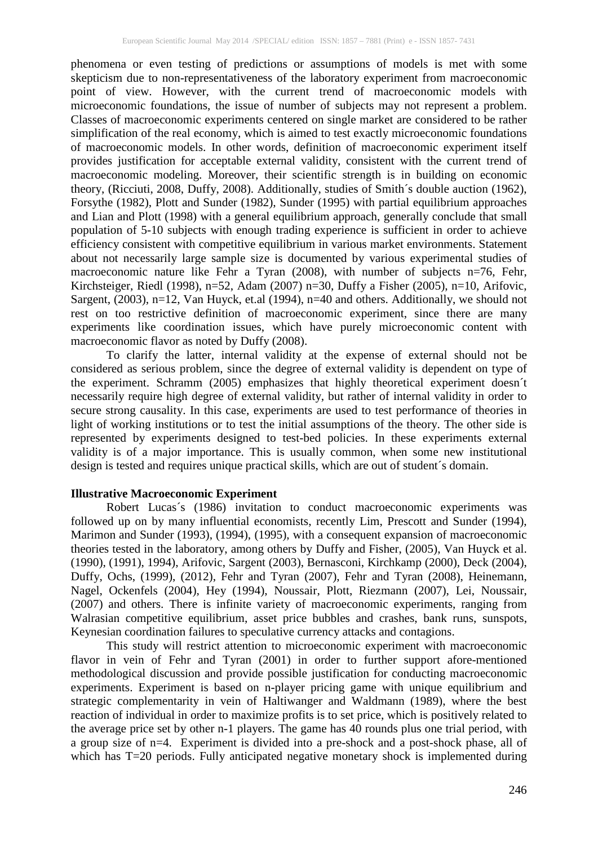phenomena or even testing of predictions or assumptions of models is met with some skepticism due to non-representativeness of the laboratory experiment from macroeconomic point of view. However, with the current trend of macroeconomic models with microeconomic foundations, the issue of number of subjects may not represent a problem. Classes of macroeconomic experiments centered on single market are considered to be rather simplification of the real economy, which is aimed to test exactly microeconomic foundations of macroeconomic models. In other words, definition of macroeconomic experiment itself provides justification for acceptable external validity, consistent with the current trend of macroeconomic modeling. Moreover, their scientific strength is in building on economic theory, (Ricciuti, 2008, Duffy, 2008). Additionally, studies of Smith´s double auction (1962), Forsythe (1982), Plott and Sunder (1982), Sunder (1995) with partial equilibrium approaches and Lian and Plott (1998) with a general equilibrium approach, generally conclude that small population of 5-10 subjects with enough trading experience is sufficient in order to achieve efficiency consistent with competitive equilibrium in various market environments. Statement about not necessarily large sample size is documented by various experimental studies of macroeconomic nature like Fehr a Tyran (2008), with number of subjects n=76, Fehr, Kirchsteiger, Riedl (1998),  $n=52$ , Adam (2007)  $n=30$ , Duffy a Fisher (2005),  $n=10$ , Arifovic, Sargent, (2003), n=12, Van Huyck, et.al (1994), n=40 and others. Additionally, we should not rest on too restrictive definition of macroeconomic experiment, since there are many experiments like coordination issues, which have purely microeconomic content with macroeconomic flavor as noted by Duffy (2008).

To clarify the latter, internal validity at the expense of external should not be considered as serious problem, since the degree of external validity is dependent on type of the experiment. Schramm (2005) emphasizes that highly theoretical experiment doesn´t necessarily require high degree of external validity, but rather of internal validity in order to secure strong causality. In this case, experiments are used to test performance of theories in light of working institutions or to test the initial assumptions of the theory. The other side is represented by experiments designed to test-bed policies. In these experiments external validity is of a major importance. This is usually common, when some new institutional design is tested and requires unique practical skills, which are out of student´s domain.

# **Illustrative Macroeconomic Experiment**

Robert Lucas´s (1986) invitation to conduct macroeconomic experiments was followed up on by many influential economists, recently Lim, Prescott and Sunder (1994), Marimon and Sunder (1993), (1994), (1995), with a consequent expansion of macroeconomic theories tested in the laboratory, among others by Duffy and Fisher, (2005), Van Huyck et al. (1990), (1991), 1994), Arifovic, Sargent (2003), Bernasconi, Kirchkamp (2000), Deck (2004), Duffy, Ochs, (1999), (2012), Fehr and Tyran (2007), Fehr and Tyran (2008), Heinemann, Nagel, Ockenfels (2004), Hey (1994), Noussair, Plott, Riezmann (2007), Lei, Noussair, (2007) and others. There is infinite variety of macroeconomic experiments, ranging from Walrasian competitive equilibrium, asset price bubbles and crashes, bank runs, sunspots, Keynesian coordination failures to speculative currency attacks and contagions.

This study will restrict attention to microeconomic experiment with macroeconomic flavor in vein of Fehr and Tyran (2001) in order to further support afore-mentioned methodological discussion and provide possible justification for conducting macroeconomic experiments. Experiment is based on n-player pricing game with unique equilibrium and strategic complementarity in vein of Haltiwanger and Waldmann (1989), where the best reaction of individual in order to maximize profits is to set price, which is positively related to the average price set by other n-1 players. The game has 40 rounds plus one trial period, with a group size of n=4. Experiment is divided into a pre-shock and a post-shock phase, all of which has T=20 periods. Fully anticipated negative monetary shock is implemented during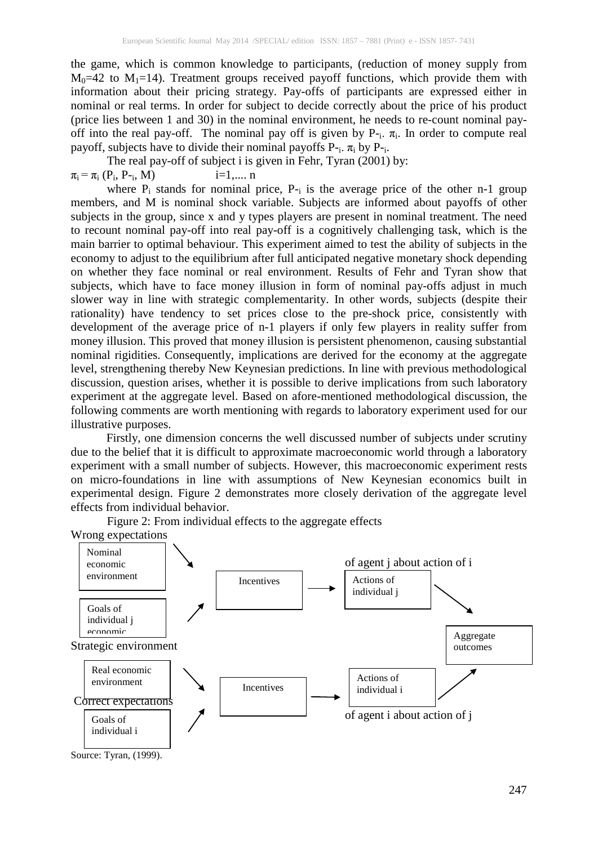the game, which is common knowledge to participants, (reduction of money supply from  $M_0=42$  to  $M_1=14$ ). Treatment groups received payoff functions, which provide them with information about their pricing strategy. Pay-offs of participants are expressed either in nominal or real terms. In order for subject to decide correctly about the price of his product (price lies between 1 and 30) in the nominal environment, he needs to re-count nominal payoff into the real pay-off. The nominal pay off is given by  $P_{-i}$ .  $\pi_{i}$ . In order to compute real payoff, subjects have to divide their nominal payoffs  $P_{i}$ .  $\pi_{i}$  by  $P_{i}$ .

The real pay-off of subject i is given in Fehr, Tyran (2001) by:  $\pi_i = \pi_i (P_i, P_{-i}, M)$  i=1,.... n

where  $P_i$  stands for nominal price,  $P_{i}$  is the average price of the other n-1 group members, and M is nominal shock variable. Subjects are informed about payoffs of other subjects in the group, since x and y types players are present in nominal treatment. The need to recount nominal pay-off into real pay-off is a cognitively challenging task, which is the main barrier to optimal behaviour. This experiment aimed to test the ability of subjects in the economy to adjust to the equilibrium after full anticipated negative monetary shock depending on whether they face nominal or real environment. Results of Fehr and Tyran show that subjects, which have to face money illusion in form of nominal pay-offs adjust in much slower way in line with strategic complementarity. In other words, subjects (despite their rationality) have tendency to set prices close to the pre-shock price, consistently with development of the average price of n-1 players if only few players in reality suffer from money illusion. This proved that money illusion is persistent phenomenon, causing substantial nominal rigidities. Consequently, implications are derived for the economy at the aggregate level, strengthening thereby New Keynesian predictions. In line with previous methodological discussion, question arises, whether it is possible to derive implications from such laboratory experiment at the aggregate level. Based on afore-mentioned methodological discussion, the following comments are worth mentioning with regards to laboratory experiment used for our illustrative purposes.

Firstly, one dimension concerns the well discussed number of subjects under scrutiny due to the belief that it is difficult to approximate macroeconomic world through a laboratory experiment with a small number of subjects. However, this macroeconomic experiment rests on micro-foundations in line with assumptions of New Keynesian economics built in experimental design. Figure 2 demonstrates more closely derivation of the aggregate level effects from individual behavior.

Wrong expectations of agent j about action of i Strategic environment Correct expectations of agent i about action of j Nominal economic environment Goals of individual j economic Real economic environment Goals of individual i Incentives Incentives | Actions of individual j Actions of individual i Aggregate outcomes

Figure 2: From individual effects to the aggregate effects

Source: Tyran, (1999).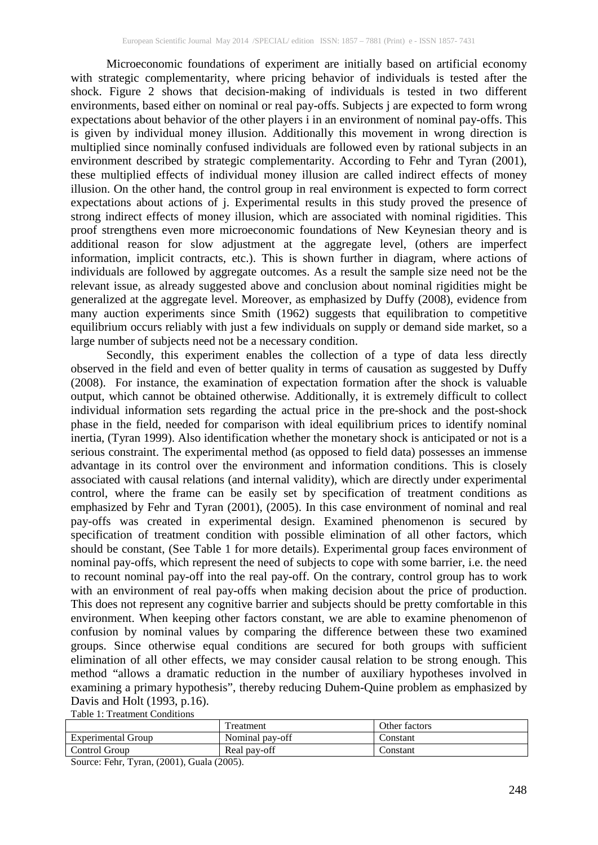Microeconomic foundations of experiment are initially based on artificial economy with strategic complementarity, where pricing behavior of individuals is tested after the shock. Figure 2 shows that decision-making of individuals is tested in two different environments, based either on nominal or real pay-offs. Subjects j are expected to form wrong expectations about behavior of the other players i in an environment of nominal pay-offs. This is given by individual money illusion. Additionally this movement in wrong direction is multiplied since nominally confused individuals are followed even by rational subjects in an environment described by strategic complementarity. According to Fehr and Tyran (2001), these multiplied effects of individual money illusion are called indirect effects of money illusion. On the other hand, the control group in real environment is expected to form correct expectations about actions of j. Experimental results in this study proved the presence of strong indirect effects of money illusion, which are associated with nominal rigidities. This proof strengthens even more microeconomic foundations of New Keynesian theory and is additional reason for slow adjustment at the aggregate level, (others are imperfect information, implicit contracts, etc.). This is shown further in diagram, where actions of individuals are followed by aggregate outcomes. As a result the sample size need not be the relevant issue, as already suggested above and conclusion about nominal rigidities might be generalized at the aggregate level. Moreover, as emphasized by Duffy (2008), evidence from many auction experiments since Smith (1962) suggests that equilibration to competitive equilibrium occurs reliably with just a few individuals on supply or demand side market, so a large number of subjects need not be a necessary condition.

Secondly, this experiment enables the collection of a type of data less directly observed in the field and even of better quality in terms of causation as suggested by Duffy (2008). For instance, the examination of expectation formation after the shock is valuable output, which cannot be obtained otherwise. Additionally, it is extremely difficult to collect individual information sets regarding the actual price in the pre-shock and the post-shock phase in the field, needed for comparison with ideal equilibrium prices to identify nominal inertia, (Tyran 1999). Also identification whether the monetary shock is anticipated or not is a serious constraint. The experimental method (as opposed to field data) possesses an immense advantage in its control over the environment and information conditions. This is closely associated with causal relations (and internal validity), which are directly under experimental control, where the frame can be easily set by specification of treatment conditions as emphasized by Fehr and Tyran (2001), (2005). In this case environment of nominal and real pay-offs was created in experimental design. Examined phenomenon is secured by specification of treatment condition with possible elimination of all other factors, which should be constant, (See Table 1 for more details). Experimental group faces environment of nominal pay-offs, which represent the need of subjects to cope with some barrier, i.e. the need to recount nominal pay-off into the real pay-off. On the contrary, control group has to work with an environment of real pay-offs when making decision about the price of production. This does not represent any cognitive barrier and subjects should be pretty comfortable in this environment. When keeping other factors constant, we are able to examine phenomenon of confusion by nominal values by comparing the difference between these two examined groups. Since otherwise equal conditions are secured for both groups with sufficient elimination of all other effects, we may consider causal relation to be strong enough. This method "allows a dramatic reduction in the number of auxiliary hypotheses involved in examining a primary hypothesis", thereby reducing Duhem-Quine problem as emphasized by Davis and Holt (1993, p.16).

Table 1: Treatment Conditions

|                    | reatment        | Other factors |
|--------------------|-----------------|---------------|
| Experimental Group | Nominal pay-off | .`onstant     |
| Control Group      | Real pay-off    | .`onstant     |

Source: Fehr, Tyran, (2001), Guala (2005).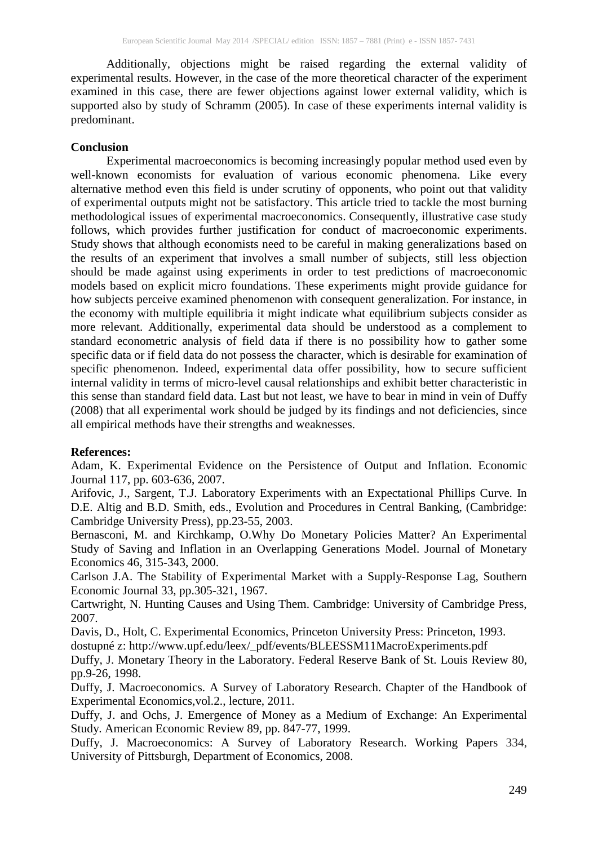Additionally, objections might be raised regarding the external validity of experimental results. However, in the case of the more theoretical character of the experiment examined in this case, there are fewer objections against lower external validity, which is supported also by study of Schramm (2005). In case of these experiments internal validity is predominant.

#### **Conclusion**

Experimental macroeconomics is becoming increasingly popular method used even by well-known economists for evaluation of various economic phenomena. Like every alternative method even this field is under scrutiny of opponents, who point out that validity of experimental outputs might not be satisfactory. This article tried to tackle the most burning methodological issues of experimental macroeconomics. Consequently, illustrative case study follows, which provides further justification for conduct of macroeconomic experiments. Study shows that although economists need to be careful in making generalizations based on the results of an experiment that involves a small number of subjects, still less objection should be made against using experiments in order to test predictions of macroeconomic models based on explicit micro foundations. These experiments might provide guidance for how subjects perceive examined phenomenon with consequent generalization. For instance, in the economy with multiple equilibria it might indicate what equilibrium subjects consider as more relevant. Additionally, experimental data should be understood as a complement to standard econometric analysis of field data if there is no possibility how to gather some specific data or if field data do not possess the character, which is desirable for examination of specific phenomenon. Indeed, experimental data offer possibility, how to secure sufficient internal validity in terms of micro-level causal relationships and exhibit better characteristic in this sense than standard field data. Last but not least, we have to bear in mind in vein of Duffy (2008) that all experimental work should be judged by its findings and not deficiencies, since all empirical methods have their strengths and weaknesses.

#### **References:**

Adam, K. Experimental Evidence on the Persistence of Output and Inflation. Economic Journal 117, pp. 603-636, 2007.

Arifovic, J., Sargent, T.J. Laboratory Experiments with an Expectational Phillips Curve. In D.E. Altig and B.D. Smith, eds., Evolution and Procedures in Central Banking, (Cambridge: Cambridge University Press), pp.23-55, 2003.

Bernasconi, M. and Kirchkamp, O.Why Do Monetary Policies Matter? An Experimental Study of Saving and Inflation in an Overlapping Generations Model. Journal of Monetary Economics 46, 315-343, 2000.

Carlson J.A. The Stability of Experimental Market with a Supply-Response Lag, Southern Economic Journal 33, pp.305-321, 1967.

Cartwright, N. Hunting Causes and Using Them. Cambridge: University of Cambridge Press, 2007.

Davis, D., Holt, C. Experimental Economics, Princeton University Press: Princeton, 1993. dostupné z: http://www.upf.edu/leex/\_pdf/events/BLEESSM11MacroExperiments.pdf

Duffy, J. Monetary Theory in the Laboratory. Federal Reserve Bank of St. Louis Review 80, pp.9-26, 1998.

Duffy, J. Macroeconomics. A Survey of Laboratory Research. Chapter of the Handbook of Experimental Economics,vol.2., lecture, 2011.

Duffy, J. and Ochs, J. Emergence of Money as a Medium of Exchange: An Experimental Study. American Economic Review 89, pp. 847-77, 1999.

Duffy, J. [Macroeconomics: A Survey of](http://ideas.repec.org/p/pit/wpaper/334.html) Laboratory Research. [Working Papers](http://ideas.repec.org/s/pit/wpaper.html) 334, University of Pittsburgh, Department of Economics, 2008.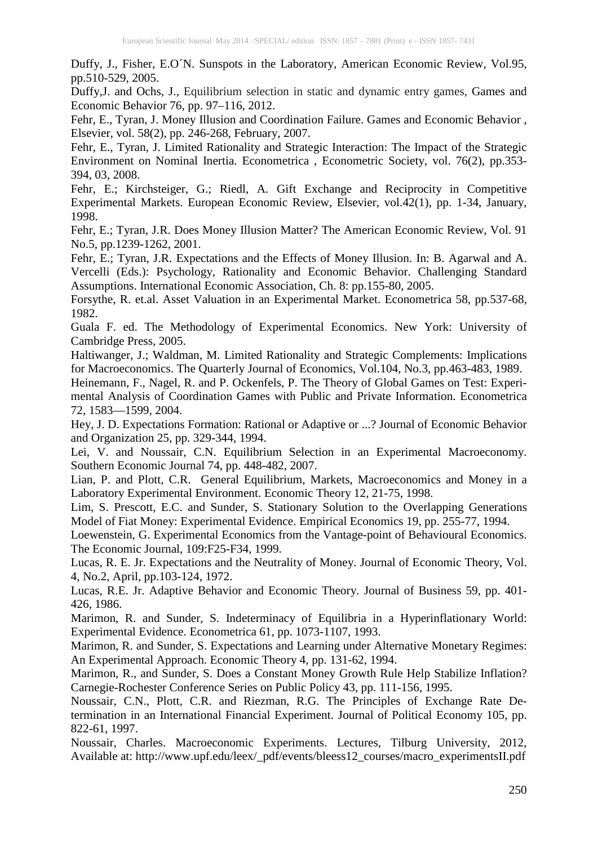Duffy, J., Fisher, E.O´N. Sunspots in the Laboratory, American Economic Review, Vol.95, pp.510-529, 2005.

Duffy,J. and Ochs, J., Equilibrium selection in static and dynamic entry games, Games and Economic Behavior 76, pp. 97–116, 2012.

Fehr, E., Tyran, J. Money Illusion and Coordination Failure. Games and Economic Behavior , Elsevier, vol. 58(2), pp. 246-268, February, 2007.

Fehr, E., Tyran, J. [Limited Rationality and Strategic](http://ideas.repec.org/a/ecm/emetrp/v76y2008i2p353-394.html) Interaction: The Impact of the Strategic [Environment on Nominal](http://ideas.repec.org/a/ecm/emetrp/v76y2008i2p353-394.html) Inertia. [Econometrica](http://ideas.repec.org/s/ecm/emetrp.html) , Econometric Society, vol. 76(2), pp.353- 394, 03, 2008.

Fehr, E.; Kirchsteiger, G.; Riedl, A. Gift Exchange and Reciprocity in Competitive Experimental Markets. European Economic Review, Elsevier, vol.42(1), pp. 1-34, January, 1998.

Fehr, E.; Tyran, J.R. Does Money Illusion Matter? The American Economic Review, Vol. 91 No.5, pp.1239-1262, 2001.

Fehr, E.; Tyran, J.R. Expectations and the Effects of Money Illusion. In: B. Agarwal and A. Vercelli (Eds.): Psychology, Rationality and Economic Behavior. Challenging Standard Assumptions. International Economic Association, Ch. 8: pp.155-80, 2005.

Forsythe, R. et.al. Asset Valuation in an Experimental Market. Econometrica 58, pp.537-68, 1982.

Guala F. ed. The Methodology of Experimental Economics. New York: University of Cambridge Press, 2005.

Haltiwanger, J.; Waldman, M. Limited Rationality and Strategic Complements: Implications for Macroeconomics. The Quarterly Journal of Economics, Vol.104, No.3, pp.463-483, 1989.

Heinemann, F., Nagel, R. and P. Ockenfels, P. The Theory of Global Games on Test: Experimental Analysis of Coordination Games with Public and Private Information. Econometrica 72, 1583—1599, 2004.

Hey, J. D. Expectations Formation: Rational or Adaptive or ...? Journal of Economic Behavior and Organization 25, pp. 329-344, 1994.

Lei, V. and Noussair, C.N. Equilibrium Selection in an Experimental Macroeconomy. Southern Economic Journal 74, pp. 448-482, 2007.

Lian, P. and Plott, C.R. General Equilibrium, Markets, Macroeconomics and Money in a Laboratory Experimental Environment. Economic Theory 12, 21-75, 1998.

Lim, S. Prescott, E.C. and Sunder, S. Stationary Solution to the Overlapping Generations Model of Fiat Money: Experimental Evidence. Empirical Economics 19, pp. 255-77, 1994.

Loewenstein, G. Experimental Economics from the Vantage-point of Behavioural Economics. The Economic Journal, 109:F25-F34, 1999.

Lucas, R. E. Jr. Expectations and the Neutrality of Money. Journal of Economic Theory, Vol. 4, No.2, April, pp.103-124, 1972.

Lucas, R.E. Jr. Adaptive Behavior and Economic Theory. Journal of Business 59, pp. 401- 426, 1986.

Marimon, R. and Sunder, S. Indeterminacy of Equilibria in a Hyperinflationary World: Experimental Evidence. Econometrica 61, pp. 1073-1107, 1993.

Marimon, R. and Sunder, S. Expectations and Learning under Alternative Monetary Regimes: An Experimental Approach. Economic Theory 4, pp. 131-62, 1994.

Marimon, R., and Sunder, S. Does a Constant Money Growth Rule Help Stabilize Inflation? Carnegie-Rochester Conference Series on Public Policy 43, pp. 111-156, 1995.

Noussair, C.N., Plott, C.R. and Riezman, R.G. The Principles of Exchange Rate Determination in an International Financial Experiment. Journal of Political Economy 105, pp. 822-61, 1997.

Noussair, Charles. Macroeconomic Experiments. Lectures, Tilburg University, 2012, Available at: http://www.upf.edu/leex/\_pdf/events/bleess12\_courses/macro\_experimentsII.pdf